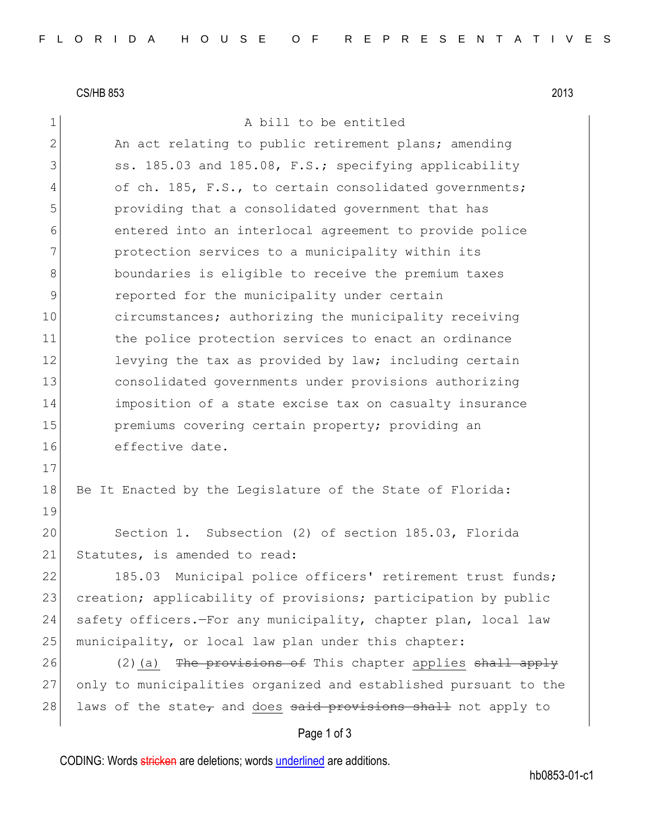CS/HB 853 2013

1 a bill to be entitled

Page 1 of 3 2 An act relating to public retirement plans; amending 3 ss. 185.03 and 185.08, F.S.; specifying applicability 4 of ch. 185, F.S., to certain consolidated governments; 5 providing that a consolidated government that has 6 entered into an interlocal agreement to provide police 7 **protection services to a municipality within its** 8 boundaries is eligible to receive the premium taxes 9 **parameler** reported for the municipality under certain 10 circumstances; authorizing the municipality receiving 11 the police protection services to enact an ordinance 12 levying the tax as provided by law; including certain 13 consolidated governments under provisions authorizing 14 imposition of a state excise tax on casualty insurance 15 **premiums** covering certain property; providing an 16 effective date. 17 18 Be It Enacted by the Legislature of the State of Florida: 19 20 Section 1. Subsection (2) of section 185.03, Florida 21 Statutes, is amended to read: 22 185.03 Municipal police officers' retirement trust funds; 23 creation; applicability of provisions; participation by public 24 safety officers.—For any municipality, chapter plan, local law 25 | municipality, or local law plan under this chapter: 26 (2)(a) The provisions of This chapter applies shall apply 27 only to municipalities organized and established pursuant to the 28 laws of the state, and does said provisions shall not apply to

CODING: Words stricken are deletions; words underlined are additions.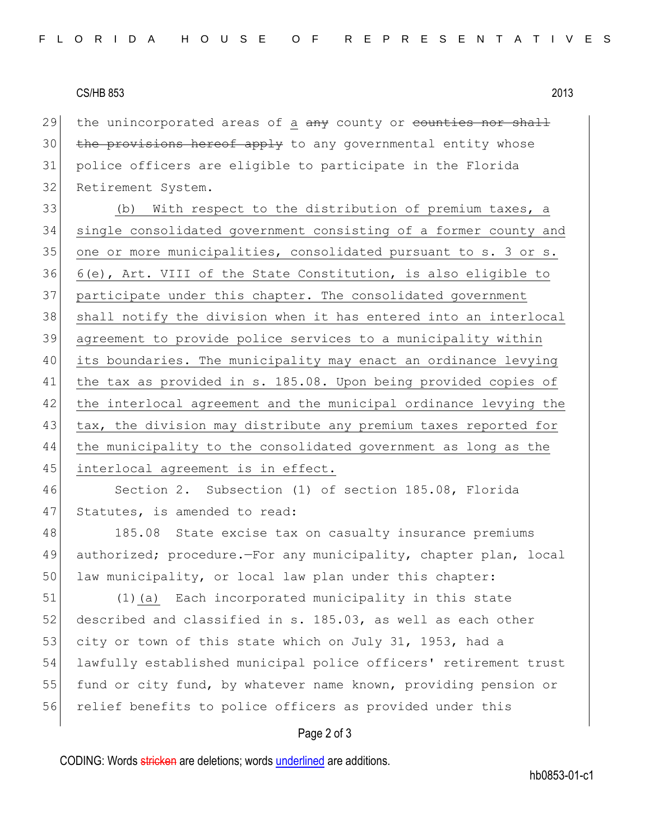## CS/HB 853 2013

29 the unincorporated areas of a  $\frac{a}{b}$  county or counties nor shall the provisions hereof apply to any governmental entity whose police officers are eligible to participate in the Florida Retirement System.

33 (b) With respect to the distribution of premium taxes, a single consolidated government consisting of a former county and 35 one or more municipalities, consolidated pursuant to s. 3 or s. 6(e), Art. VIII of the State Constitution, is also eligible to participate under this chapter. The consolidated government shall notify the division when it has entered into an interlocal agreement to provide police services to a municipality within its boundaries. The municipality may enact an ordinance levying the tax as provided in s. 185.08. Upon being provided copies of 42 the interlocal agreement and the municipal ordinance levying the 43 tax, the division may distribute any premium taxes reported for the municipality to the consolidated government as long as the 45 interlocal agreement is in effect.

46 Section 2. Subsection (1) of section 185.08, Florida 47 Statutes, is amended to read:

48 185.08 State excise tax on casualty insurance premiums 49 authorized; procedure.—For any municipality, chapter plan, local 50 law municipality, or local law plan under this chapter:

51 (1)(a) Each incorporated municipality in this state 52 described and classified in s. 185.03, as well as each other 53 city or town of this state which on July 31, 1953, had a 54 lawfully established municipal police officers' retirement trust 55 fund or city fund, by whatever name known, providing pension or 56 relief benefits to police officers as provided under this

## Page 2 of 3

CODING: Words stricken are deletions; words underlined are additions.